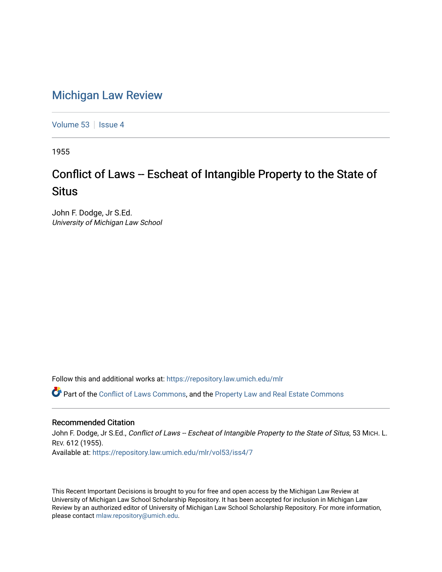## [Michigan Law Review](https://repository.law.umich.edu/mlr)

[Volume 53](https://repository.law.umich.edu/mlr/vol53) | [Issue 4](https://repository.law.umich.edu/mlr/vol53/iss4)

1955

## Conflict of Laws -- Escheat of Intangible Property to the State of **Situs**

John F. Dodge, Jr S.Ed. University of Michigan Law School

Follow this and additional works at: [https://repository.law.umich.edu/mlr](https://repository.law.umich.edu/mlr?utm_source=repository.law.umich.edu%2Fmlr%2Fvol53%2Fiss4%2F7&utm_medium=PDF&utm_campaign=PDFCoverPages) 

Part of the [Conflict of Laws Commons,](http://network.bepress.com/hgg/discipline/588?utm_source=repository.law.umich.edu%2Fmlr%2Fvol53%2Fiss4%2F7&utm_medium=PDF&utm_campaign=PDFCoverPages) and the [Property Law and Real Estate Commons](http://network.bepress.com/hgg/discipline/897?utm_source=repository.law.umich.edu%2Fmlr%2Fvol53%2Fiss4%2F7&utm_medium=PDF&utm_campaign=PDFCoverPages) 

## Recommended Citation

John F. Dodge, Jr S.Ed., Conflict of Laws -- Escheat of Intangible Property to the State of Situs, 53 MICH. L. REV. 612 (1955). Available at: [https://repository.law.umich.edu/mlr/vol53/iss4/7](https://repository.law.umich.edu/mlr/vol53/iss4/7?utm_source=repository.law.umich.edu%2Fmlr%2Fvol53%2Fiss4%2F7&utm_medium=PDF&utm_campaign=PDFCoverPages)

This Recent Important Decisions is brought to you for free and open access by the Michigan Law Review at University of Michigan Law School Scholarship Repository. It has been accepted for inclusion in Michigan Law Review by an authorized editor of University of Michigan Law School Scholarship Repository. For more information, please contact [mlaw.repository@umich.edu.](mailto:mlaw.repository@umich.edu)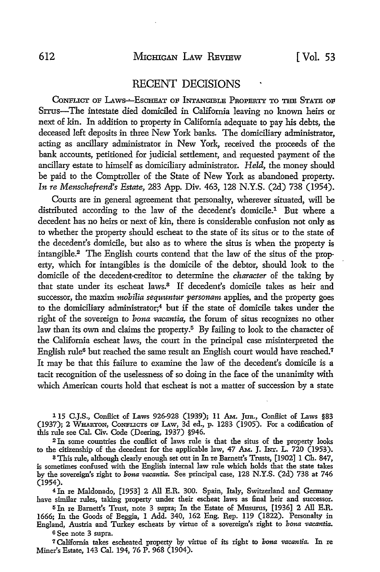## RECENT DECISIONS

CONFLICT OF LAWS-ESCHEAT OF INTANGIBLE PROPERTY TO THE STATE OF SITUs-The intestate died domiciled in California leaving no known heirs or next of kin. In addition to property in California adequate to pay his debts, the deceased left deposits in three New York banks. The domiciliary administrator, acting as ancillary administrator in New York, received the proceeds of the bank accounts, petitioned for judicial settlement, and requested payment of the ancillary estate to himself as domiciliary administrator. *Held,* the money should be paid to the Comptroller of the State of New York as abandoned property. *In re Menschefrend's Estate,* 283 App. Div. 463, 128 N.Y.S. (2d) 738 (1954).

Courts are in general agreement that personalty, wherever situated, will be distributed according to the law of the decedent's domicile.1 But where a decedent has no heirs or next of kin, there is considerable confusion not only as to whether the property should escheat to the state of its situs or to the state **of**  the decedent's domicile, but also as to where the situs is when the property is intangible.2 The English courts contend that the law of the situs of the property, which for intangibles is the domicile of the debtor, should look to the domicile of the decedent-creditor to determine the *character* of the taking by that state under its escheat laws.3 If decedent's domicile takes as heir and successor, the maxim *mobilia sequuntur personam* applies, and the property goes to the domiciliary administrator;<sup>4</sup> but if the state of domicile takes under the right of the sovereign to *bona vacantia,* the forum of situs recognizes no other law than its own and claims the property.<sup>5</sup> By failing to look to the character of the California escheat laws, the court in the principal case misinterpreted the English rule<sup>6</sup> but reached the same result an English court would have reached.<sup>7</sup> It may be that this failure to examine the law of the decedent's domicile is a tacit recognition of the uselessness of so doing in the face of the unanimity with which American courts hold that escheat is not a matter of succession by a state

115 C.J.S., Conflict of Laws 926-928 (1939); 11 Am. Jun., Conflict of Laws §83 (1937); 2 WHARTON, CONFLICTS OF LAW, 3d ed., p. 1283 (1905). For a codification of this rule see Cal. Civ. Code (Deering, 1937) §946.

2 In some countries the conffict of laws rule is that the situs of the property looks to the citizenship of the decedent for the applicable law, 47 AM. J. INT. L.  $720$  (1953).

<sup>3</sup>This rule, although clearly enough set out in In re Barnett's Trusts, [1902] 1 Ch. 847, is sometimes confused with the English internal law rule which holds that the state takes by the sovereign's right to *bona vacantia*. See principal case, 128 N.Y.S. (2d) 738 at 746 (1954).

4 In re Maldonado, [1953] 2 All E.R. 300. Spain, Italy, Switzerland and Germany have similar rules, taking property under their escheat laws as final heir and successor.

5 In re Barnett's Trust, note 3 supra; In the Estate of Musurus, [1936] 2 All E.R. 1666; In the Goods of Beggia, 1 Add. 340, 162 Eng. Rep. 119 (1822). Personalty in England, Austria and Turkey escheats by virtue of a sovereign's right to *bona vacantia*.

<sup>6</sup>See note 3 supra.

7 California takes escheated property by virtue of its right to *bona vacantia*. In re Miner's Estate, 143 Cal. 194, 76 P. 968 (1904).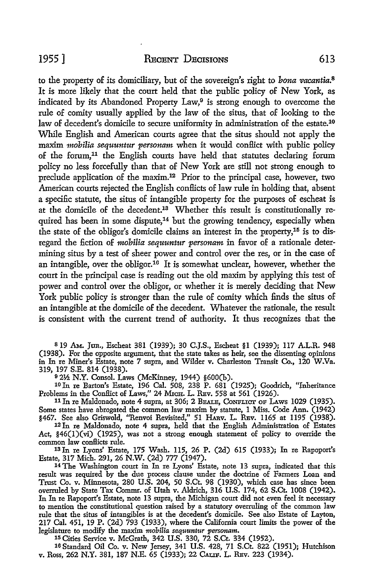to the property of its domiciliary, but of the sovereign's right to *bona vacantia*.<sup>8</sup> It is more likely that the court held that the public policy of New York, as indicated by its Abandoned Property Law, $9$  is strong enough to overcome the rule of comity usually applied by the law of the situs, that of looking to the law of decedent's domicile to secure uniformity in administration of the estate.<sup>10</sup> While English and American courts agree that the situs should not apply the maxim *mobilia sequuntur personam* when it would conflict with public policy of the forum,<sup>11</sup> the English courts have held that statutes declaring forum policy no less forcefully than that of New York are still not strong enough to preclude application of the maxim.<sup>12</sup> Prior to the principal case, however, two American courts rejected the English conflicts of law rule in holding that, absent a specific statute, the situs of intangible property for the purposes of escheat is at the domicile of the decedent.13 Whether this result is constitutionally required has been in some dispute,<sup>14</sup> but the growing tendency, especially when the state of the obligor's domicile claims an interest in the property,15 is to disregard the fiction of *mobilia sequuntur personam* in favor of a rationale determining situs by a test of sheer power and control over the res, or in the case of an intangible, over the obligor.16 It is somewhat unclear, however, whether the court in the principal case is reading out the old maxim by applying this test of power and control over the obligor, or whether it is merely deciding that New York public policy is stronger than the rule of comity which finds the situs of an intangible at the domicile of the decedent. Whatever the rationale, the result is consistent with the current trend of authority. It thus recognizes that the

<sup>8</sup> 19 AM. Jan., Escheat 381 (1939); 30 C.J.S., Escheat §1 (1939); 117 A.L.R. 948 (1938). For the opposite argument, that the state takes as heir, see the dissenting opinions in In re Miner's Estate, note 7 supra, and Wilder v. Charleston Transit Co., 120 W.Va. 319, 197 S.E. 814 (1938).

<sup>9</sup>2½ N.Y. Consol. Laws (McKinney, 1944) §600(h).

<sup>10</sup>In re Barton's Estate, 196 Cal. 508, 238 P. 681 (1925); Goodrich, "!nheritance Problems in the Conflict of Laws," 24 MICH. L. REV. 558 at 561 (1926).

11 In re Maldonado, note 4 supra, at 306; 2 BEALE, CONFLICT OF LAWS 1029 (1935). Some states have abrogated the common law maxim by statute, 1 Miss. Code Ann. (1942) §467. See also Griswold, ''Renvoi Revisited," 51 HARv. L. REv. 1165 at 1195 (1938).

12 In re Maldonado, note 4 supra, held that the English Administration of Estates Act, §46(1)(vi) (1925), was not a strong enough statement of policy to override the

common law conflicts rule. 13 In re Lyons' Estate, 175 Wash. 115, 26 P. (2d) 615 (1933); In re Rapoport's Estate, 317 Mich. 291, 26 N.W. (2d) 777 (1947).

<sup>14</sup> The Washington court in In re Lyons' Estate, note 13 supra, indicated that this result was required by the due process clause under the doctrine of Farmers Loan and Trust Co. v. Minnesota, 280 U.S. 204, 50 S.Ct. 98 (1930), which case has since been overruled by State Tax Commr. of Utah v. Aldrich, 316 U.S. 174, 62 S.Ct. 1008 (1942). In In re Rapoport's Estate, note 13 supra, the Michigan court did not even feel it necessary to mention the constitutional question raised by a statutory overruling of the common law rule that the situs of intangibles is at the decedent's domicile. See also Estate of Layton, 217 Cal. 451, 19 P. (2d) 793 (1933), where the California court limits the power of the legislature to modify the maxim *mobilia sequuntur personam.* 

15 Cities Service v. McGrath, 342 U.S. 330, 72 S.Ct. 334 (1952).

16 Standard Oil Co. v. New Jersey, 341 U.S. 428, 71 S.Ct. 822 (1951); Hutchison v. Ross, 262 N.Y. 381, 187 N.E. 65 (1933); 22 CALIF. L. REv. 223 (1934).